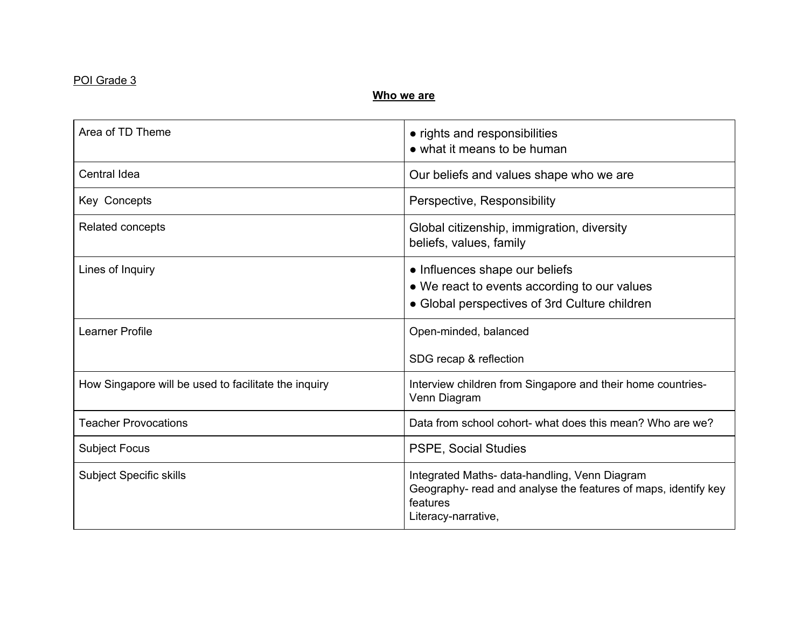## POI Grade 3

#### **Who we are**

| Area of TD Theme                                     | • rights and responsibilities<br>• what it means to be human                                                                                       |
|------------------------------------------------------|----------------------------------------------------------------------------------------------------------------------------------------------------|
| Central Idea                                         | Our beliefs and values shape who we are                                                                                                            |
| Key Concepts                                         | Perspective, Responsibility                                                                                                                        |
| Related concepts                                     | Global citizenship, immigration, diversity<br>beliefs, values, family                                                                              |
| Lines of Inquiry                                     | • Influences shape our beliefs<br>• We react to events according to our values<br>• Global perspectives of 3rd Culture children                    |
| Learner Profile                                      | Open-minded, balanced<br>SDG recap & reflection                                                                                                    |
| How Singapore will be used to facilitate the inquiry | Interview children from Singapore and their home countries-<br>Venn Diagram                                                                        |
| <b>Teacher Provocations</b>                          | Data from school cohort- what does this mean? Who are we?                                                                                          |
| <b>Subject Focus</b>                                 | <b>PSPE, Social Studies</b>                                                                                                                        |
| <b>Subject Specific skills</b>                       | Integrated Maths- data-handling, Venn Diagram<br>Geography- read and analyse the features of maps, identify key<br>features<br>Literacy-narrative, |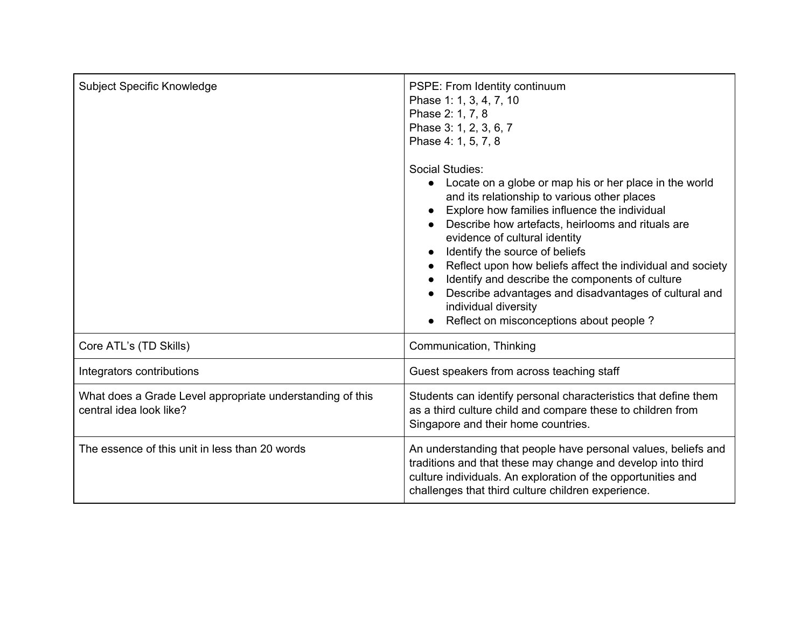| Subject Specific Knowledge                                                           | PSPE: From Identity continuum<br>Phase 1: 1, 3, 4, 7, 10<br>Phase 2: 1, 7, 8<br>Phase 3: 1, 2, 3, 6, 7<br>Phase 4: 1, 5, 7, 8                                                                                                                                                                                                                                                                                                                                                                                                                   |
|--------------------------------------------------------------------------------------|-------------------------------------------------------------------------------------------------------------------------------------------------------------------------------------------------------------------------------------------------------------------------------------------------------------------------------------------------------------------------------------------------------------------------------------------------------------------------------------------------------------------------------------------------|
|                                                                                      | Social Studies:<br>Locate on a globe or map his or her place in the world<br>and its relationship to various other places<br>Explore how families influence the individual<br>Describe how artefacts, heirlooms and rituals are<br>evidence of cultural identity<br>Identify the source of beliefs<br>Reflect upon how beliefs affect the individual and society<br>Identify and describe the components of culture<br>Describe advantages and disadvantages of cultural and<br>individual diversity<br>Reflect on misconceptions about people? |
| Core ATL's (TD Skills)                                                               | Communication, Thinking                                                                                                                                                                                                                                                                                                                                                                                                                                                                                                                         |
| Integrators contributions                                                            | Guest speakers from across teaching staff                                                                                                                                                                                                                                                                                                                                                                                                                                                                                                       |
| What does a Grade Level appropriate understanding of this<br>central idea look like? | Students can identify personal characteristics that define them<br>as a third culture child and compare these to children from<br>Singapore and their home countries.                                                                                                                                                                                                                                                                                                                                                                           |
| The essence of this unit in less than 20 words                                       | An understanding that people have personal values, beliefs and<br>traditions and that these may change and develop into third<br>culture individuals. An exploration of the opportunities and<br>challenges that third culture children experience.                                                                                                                                                                                                                                                                                             |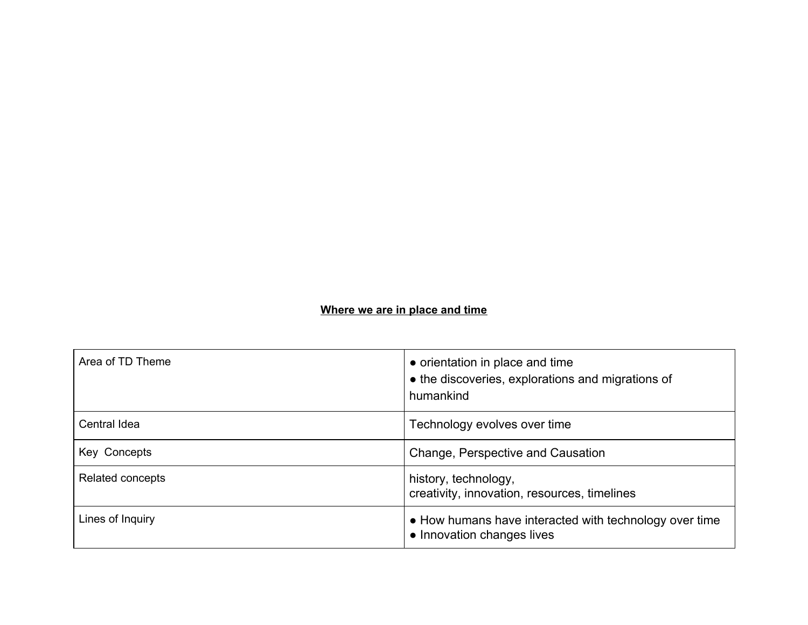# **Where we are in place and time**

| Area of TD Theme | • orientation in place and time<br>• the discoveries, explorations and migrations of<br>humankind |
|------------------|---------------------------------------------------------------------------------------------------|
| Central Idea     | Technology evolves over time                                                                      |
| Key Concepts     | Change, Perspective and Causation                                                                 |
| Related concepts | history, technology,<br>creativity, innovation, resources, timelines                              |
| Lines of Inquiry | • How humans have interacted with technology over time<br>• Innovation changes lives              |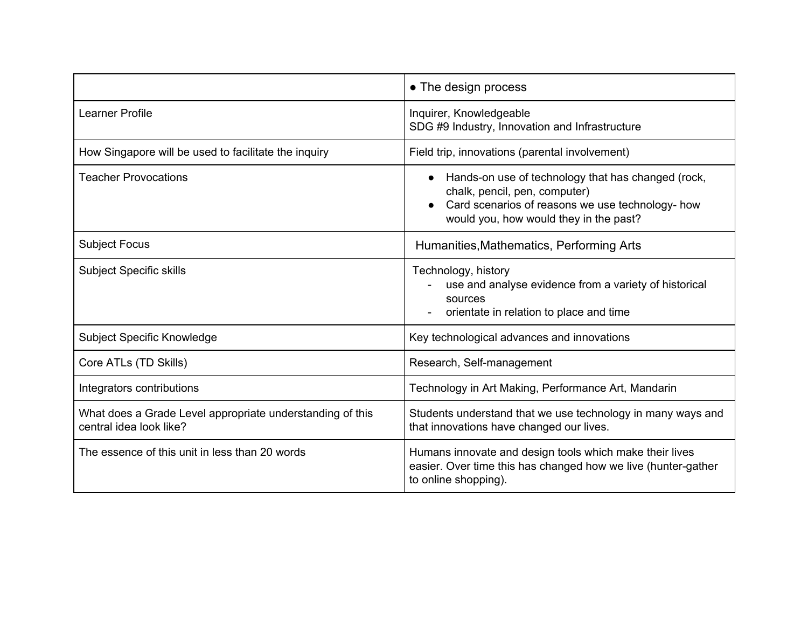|                                                                                      | • The design process                                                                                                                                                                           |
|--------------------------------------------------------------------------------------|------------------------------------------------------------------------------------------------------------------------------------------------------------------------------------------------|
| Learner Profile                                                                      | Inquirer, Knowledgeable<br>SDG #9 Industry, Innovation and Infrastructure                                                                                                                      |
| How Singapore will be used to facilitate the inquiry                                 | Field trip, innovations (parental involvement)                                                                                                                                                 |
| <b>Teacher Provocations</b>                                                          | Hands-on use of technology that has changed (rock,<br>$\bullet$<br>chalk, pencil, pen, computer)<br>Card scenarios of reasons we use technology- how<br>would you, how would they in the past? |
| <b>Subject Focus</b>                                                                 | Humanities, Mathematics, Performing Arts                                                                                                                                                       |
| <b>Subject Specific skills</b>                                                       | Technology, history<br>use and analyse evidence from a variety of historical<br>sources<br>orientate in relation to place and time                                                             |
| <b>Subject Specific Knowledge</b>                                                    | Key technological advances and innovations                                                                                                                                                     |
| Core ATLs (TD Skills)                                                                | Research, Self-management                                                                                                                                                                      |
| Integrators contributions                                                            | Technology in Art Making, Performance Art, Mandarin                                                                                                                                            |
| What does a Grade Level appropriate understanding of this<br>central idea look like? | Students understand that we use technology in many ways and<br>that innovations have changed our lives.                                                                                        |
| The essence of this unit in less than 20 words                                       | Humans innovate and design tools which make their lives<br>easier. Over time this has changed how we live (hunter-gather<br>to online shopping).                                               |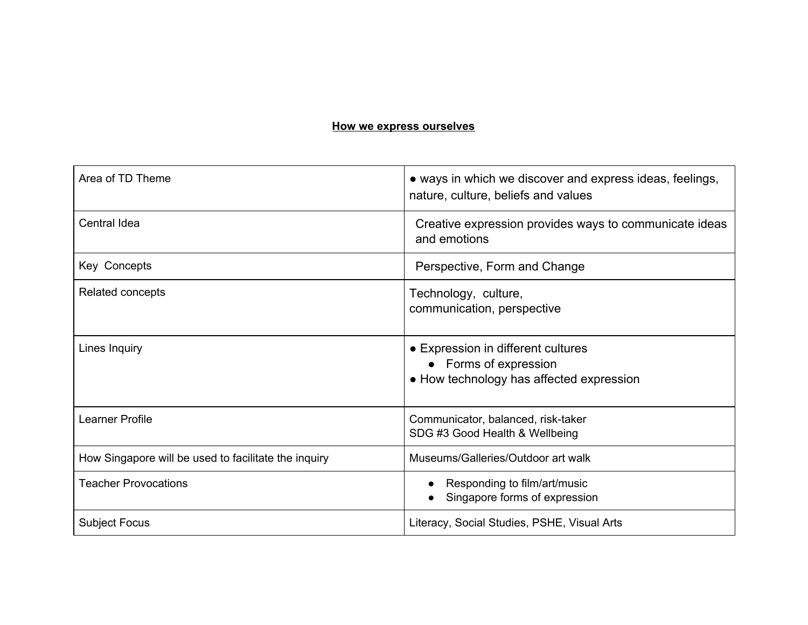#### **How we express ourselves**

| Area of TD Theme                                     | • ways in which we discover and express ideas, feelings,<br>nature, culture, beliefs and values         |
|------------------------------------------------------|---------------------------------------------------------------------------------------------------------|
| <b>Central Idea</b>                                  | Creative expression provides ways to communicate ideas<br>and emotions                                  |
| Key Concepts                                         | Perspective, Form and Change                                                                            |
| Related concepts                                     | Technology, culture,<br>communication, perspective                                                      |
| Lines Inquiry                                        | • Expression in different cultures<br>• Forms of expression<br>• How technology has affected expression |
| <b>Learner Profile</b>                               | Communicator, balanced, risk-taker<br>SDG #3 Good Health & Wellbeing                                    |
| How Singapore will be used to facilitate the inquiry | Museums/Galleries/Outdoor art walk                                                                      |
| <b>Teacher Provocations</b>                          | Responding to film/art/music<br>Singapore forms of expression                                           |
| <b>Subject Focus</b>                                 | Literacy, Social Studies, PSHE, Visual Arts                                                             |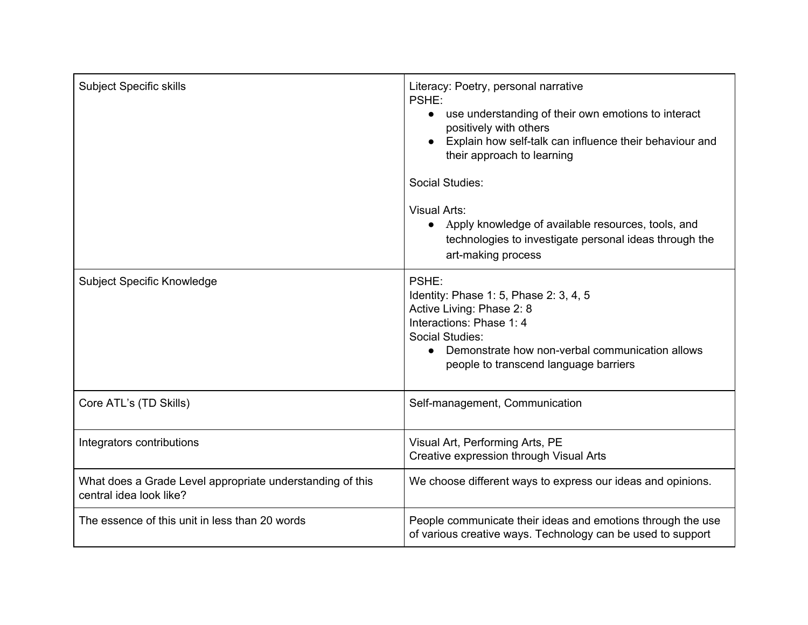| <b>Subject Specific skills</b>                                                       | Literacy: Poetry, personal narrative<br>PSHE:<br>use understanding of their own emotions to interact<br>positively with others<br>Explain how self-talk can influence their behaviour and<br>their approach to learning   |
|--------------------------------------------------------------------------------------|---------------------------------------------------------------------------------------------------------------------------------------------------------------------------------------------------------------------------|
|                                                                                      | Social Studies:<br><b>Visual Arts:</b><br>• Apply knowledge of available resources, tools, and<br>technologies to investigate personal ideas through the<br>art-making process                                            |
| Subject Specific Knowledge                                                           | PSHE:<br>Identity: Phase 1: 5, Phase 2: 3, 4, 5<br>Active Living: Phase 2: 8<br>Interactions: Phase 1: 4<br>Social Studies:<br>• Demonstrate how non-verbal communication allows<br>people to transcend language barriers |
| Core ATL's (TD Skills)                                                               | Self-management, Communication                                                                                                                                                                                            |
| Integrators contributions                                                            | Visual Art, Performing Arts, PE<br>Creative expression through Visual Arts                                                                                                                                                |
| What does a Grade Level appropriate understanding of this<br>central idea look like? | We choose different ways to express our ideas and opinions.                                                                                                                                                               |
| The essence of this unit in less than 20 words                                       | People communicate their ideas and emotions through the use<br>of various creative ways. Technology can be used to support                                                                                                |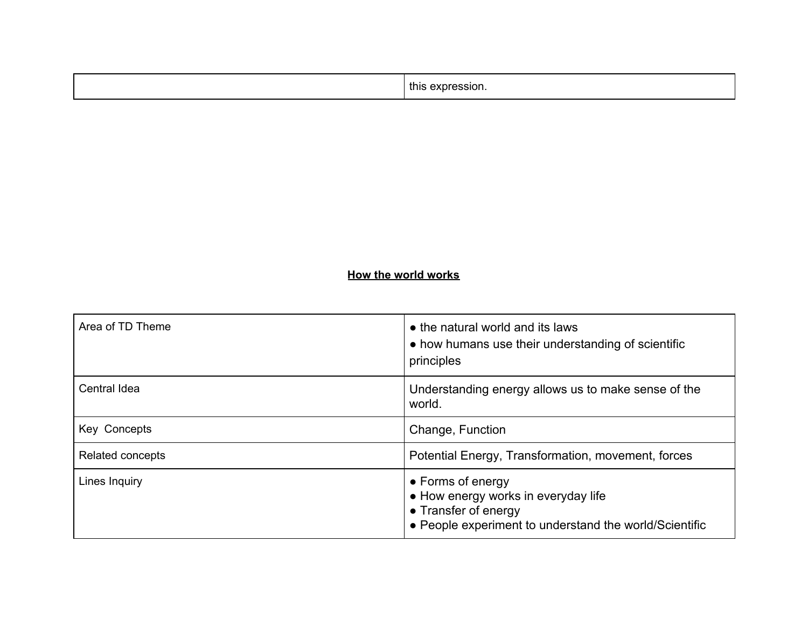| . . |
|-----|
|-----|

# **How the world works**

| Area of TD Theme | • the natural world and its laws<br>• how humans use their understanding of scientific<br>principles                                       |
|------------------|--------------------------------------------------------------------------------------------------------------------------------------------|
| Central Idea     | Understanding energy allows us to make sense of the<br>world.                                                                              |
| Key Concepts     | Change, Function                                                                                                                           |
| Related concepts | Potential Energy, Transformation, movement, forces                                                                                         |
| Lines Inquiry    | • Forms of energy<br>• How energy works in everyday life<br>• Transfer of energy<br>• People experiment to understand the world/Scientific |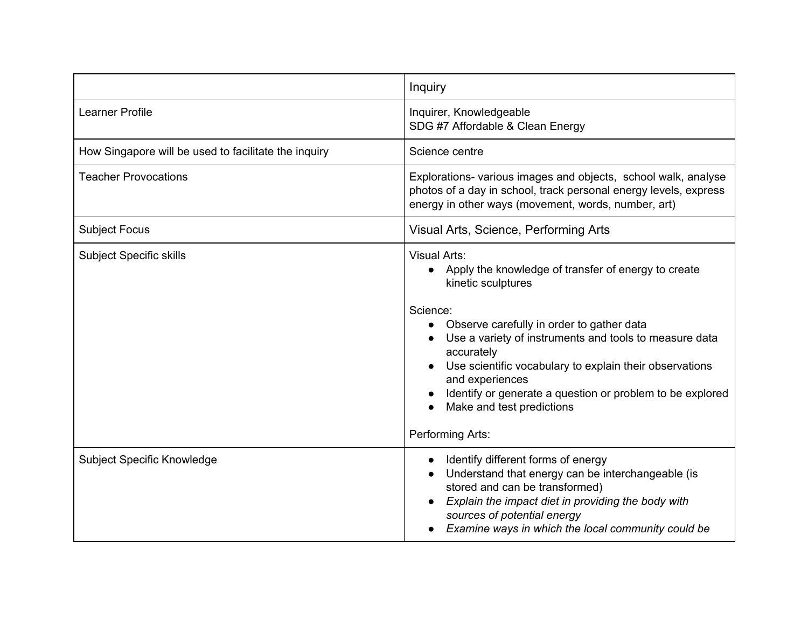|                                                      | Inquiry                                                                                                                                                                                                                                                                                                                                                                                                                         |
|------------------------------------------------------|---------------------------------------------------------------------------------------------------------------------------------------------------------------------------------------------------------------------------------------------------------------------------------------------------------------------------------------------------------------------------------------------------------------------------------|
| Learner Profile                                      | Inquirer, Knowledgeable<br>SDG #7 Affordable & Clean Energy                                                                                                                                                                                                                                                                                                                                                                     |
| How Singapore will be used to facilitate the inquiry | Science centre                                                                                                                                                                                                                                                                                                                                                                                                                  |
| <b>Teacher Provocations</b>                          | Explorations- various images and objects, school walk, analyse<br>photos of a day in school, track personal energy levels, express<br>energy in other ways (movement, words, number, art)                                                                                                                                                                                                                                       |
| <b>Subject Focus</b>                                 | Visual Arts, Science, Performing Arts                                                                                                                                                                                                                                                                                                                                                                                           |
| <b>Subject Specific skills</b>                       | <b>Visual Arts:</b><br>• Apply the knowledge of transfer of energy to create<br>kinetic sculptures<br>Science:<br>Observe carefully in order to gather data<br>Use a variety of instruments and tools to measure data<br>accurately<br>Use scientific vocabulary to explain their observations<br>and experiences<br>Identify or generate a question or problem to be explored<br>Make and test predictions<br>Performing Arts: |
| Subject Specific Knowledge                           | Identify different forms of energy<br>Understand that energy can be interchangeable (is<br>stored and can be transformed)<br>Explain the impact diet in providing the body with<br>sources of potential energy<br>Examine ways in which the local community could be                                                                                                                                                            |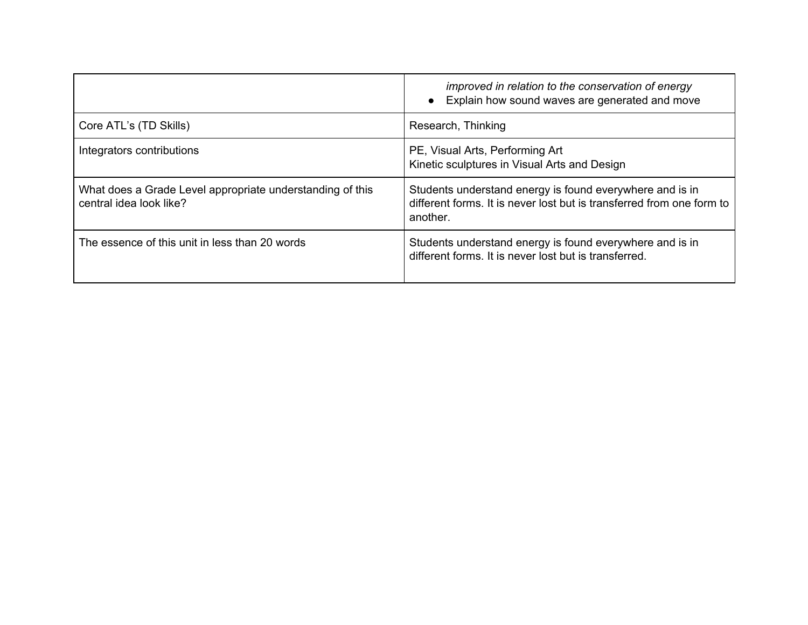|                                                                                      | improved in relation to the conservation of energy<br>• Explain how sound waves are generated and move                                        |
|--------------------------------------------------------------------------------------|-----------------------------------------------------------------------------------------------------------------------------------------------|
| Core ATL's (TD Skills)                                                               | Research, Thinking                                                                                                                            |
| Integrators contributions                                                            | PE, Visual Arts, Performing Art<br>Kinetic sculptures in Visual Arts and Design                                                               |
| What does a Grade Level appropriate understanding of this<br>central idea look like? | Students understand energy is found everywhere and is in<br>different forms. It is never lost but is transferred from one form to<br>another. |
| The essence of this unit in less than 20 words                                       | Students understand energy is found everywhere and is in<br>different forms. It is never lost but is transferred.                             |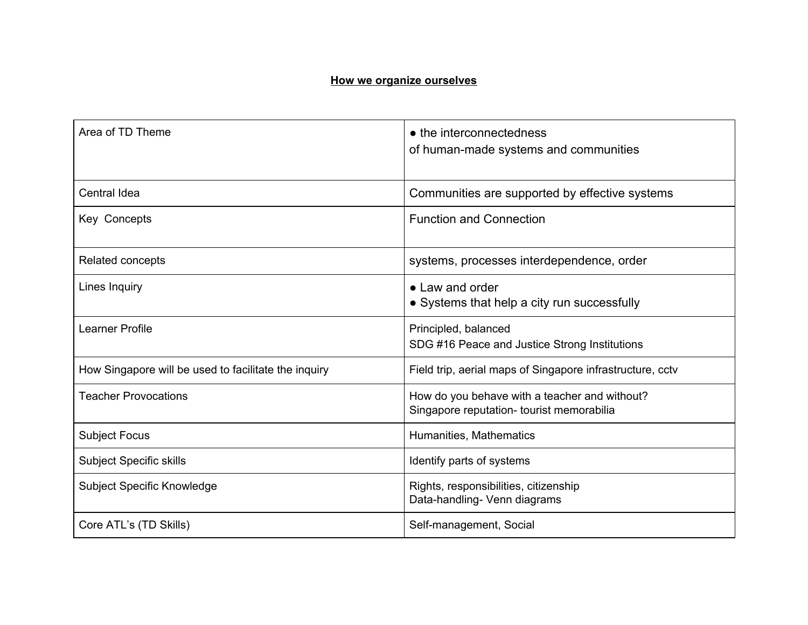#### **How we organize ourselves**

| Area of TD Theme                                     | • the interconnectedness<br>of human-made systems and communities                          |
|------------------------------------------------------|--------------------------------------------------------------------------------------------|
| <b>Central Idea</b>                                  | Communities are supported by effective systems                                             |
| Key Concepts                                         | <b>Function and Connection</b>                                                             |
| <b>Related concepts</b>                              | systems, processes interdependence, order                                                  |
| Lines Inquiry                                        | • Law and order<br>• Systems that help a city run successfully                             |
| <b>Learner Profile</b>                               | Principled, balanced<br>SDG #16 Peace and Justice Strong Institutions                      |
| How Singapore will be used to facilitate the inquiry | Field trip, aerial maps of Singapore infrastructure, cctv                                  |
| <b>Teacher Provocations</b>                          | How do you behave with a teacher and without?<br>Singapore reputation- tourist memorabilia |
| <b>Subject Focus</b>                                 | Humanities, Mathematics                                                                    |
| <b>Subject Specific skills</b>                       | Identify parts of systems                                                                  |
| Subject Specific Knowledge                           | Rights, responsibilities, citizenship<br>Data-handling- Venn diagrams                      |
| Core ATL's (TD Skills)                               | Self-management, Social                                                                    |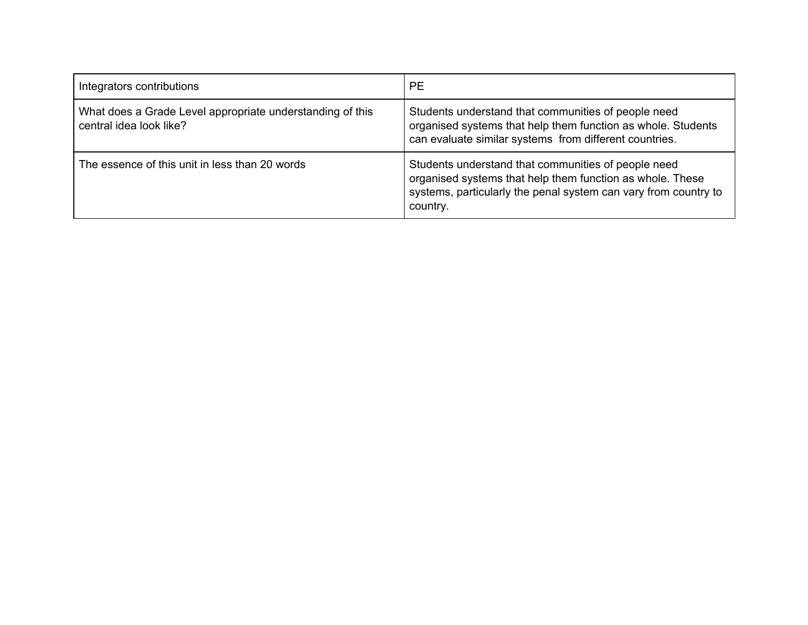| Integrators contributions                                                            | <b>PE</b>                                                                                                                                                                                       |
|--------------------------------------------------------------------------------------|-------------------------------------------------------------------------------------------------------------------------------------------------------------------------------------------------|
| What does a Grade Level appropriate understanding of this<br>central idea look like? | Students understand that communities of people need<br>organised systems that help them function as whole. Students<br>can evaluate similar systems from different countries.                   |
| The essence of this unit in less than 20 words                                       | Students understand that communities of people need<br>organised systems that help them function as whole. These<br>systems, particularly the penal system can vary from country to<br>country. |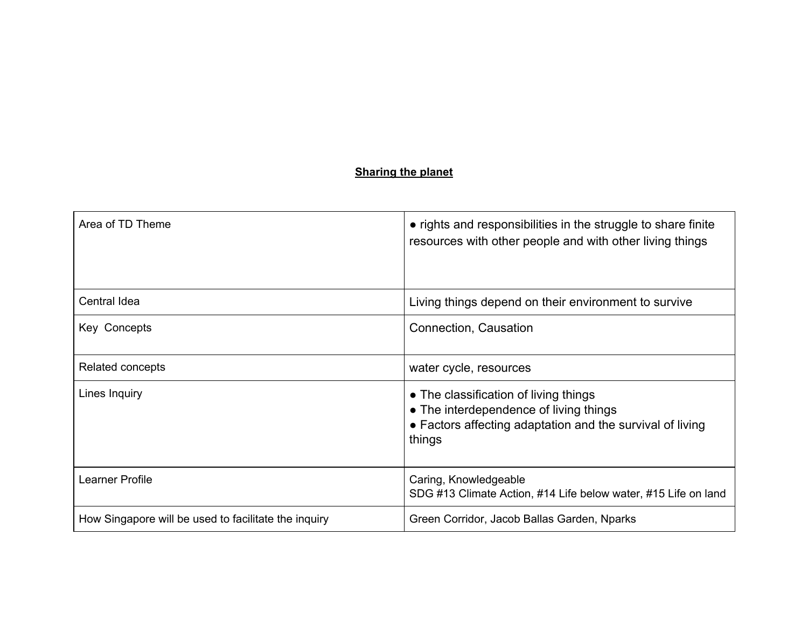## **Sharing the planet**

| Area of TD Theme                                     | • rights and responsibilities in the struggle to share finite<br>resources with other people and with other living things                              |
|------------------------------------------------------|--------------------------------------------------------------------------------------------------------------------------------------------------------|
| Central Idea                                         | Living things depend on their environment to survive                                                                                                   |
| Key Concepts                                         | Connection, Causation                                                                                                                                  |
| Related concepts                                     | water cycle, resources                                                                                                                                 |
| Lines Inquiry                                        | • The classification of living things<br>• The interdependence of living things<br>• Factors affecting adaptation and the survival of living<br>things |
| Learner Profile                                      | Caring, Knowledgeable<br>SDG #13 Climate Action, #14 Life below water, #15 Life on land                                                                |
| How Singapore will be used to facilitate the inquiry | Green Corridor, Jacob Ballas Garden, Nparks                                                                                                            |